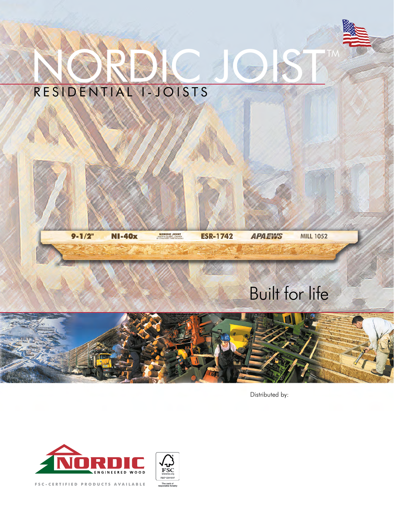

# NORDIC JOIST RESIDENTIAL I-JOISTS



**NORDIC JOIST** 

**ESR-1742** 

**APAEWS MILL 1052** 

# Built for life



Distributed by:

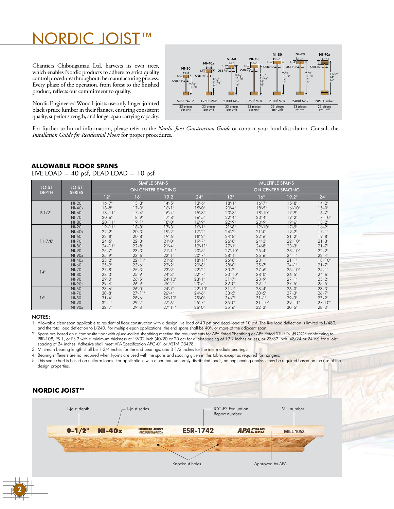# NORDIC JOIST™

33 pi 33 pieces 33 pieces per unit 23 pieces per unit 23 pieces 23 pieces 9-1/2" 11-7/8" 14" 16"  $1 - \frac{3 - 1}{2}$ OSB 3/8" 3-1/2"  $\frac{1}{2}$ 9-1/2" 11-7/8" 9-1/2" 11-7/8" 14" 9-1/2" 11-7/8" 14" 16"  $2 - \frac{1}{2}$  $1 - \frac{2^{3}/2}{n}$  $1 - \frac{1}{2}$  $OSB<sup>3</sup>/8"$  $OSB<sup>3</sup>/8"$  $\frac{1}{2^{2}}$   $\frac{1}{2^{2}}$  OSB  $^{3}/8$ "  $1\cdot\overline{1/2}$ NI-20 S-P-F No. 2 1950f MSR 2100f MSR 1950f MSR 2100f MSR NI-40x NI-60 NI-70 NI-80 9-1/2" 11-7/8" 14" 16" OSB 3/8" 23 pieces per unit 11-7/8" 14" 16" 3-1/2" 2"  $OSB \gamma_{16} \rightarrow \leftarrow \leftarrow$  OSB $\gamma_{16}$ "  $NPG$  Lumber NI-90x 23 pieces per unit 9-1/2" 11-7/8" 14" 16" 3-1/2"  $1 - \frac{1}{2}$ 2400f MSR NI-90

Chantiers Chibougamau Ltd. harvests its own trees, which enables Nordic products to adhere to strict quality control procedures throughout the manufacturing process. Every phase of the operation, from forest to the finished product, reflects our commitment to quality.

Nordic Engineered Wood I-joists use only finger-jointed black spruce lumber in their flanges, ensuring consistent quality, superior strength, and longer span carrying capacity.

For further technical information, please refer to the *Nordic Joist Construction Guide* or contact your local distributor. Consult the *Installation Guide for Residential Floors* for proper procedures.

## **ALLOWABLE FLOOR SPANS**

LIVE LOAD = 40 psf, DEAD LOAD = 10 psf

|                              | <b>JOIST</b><br><b>SERIES</b> |             | <b>SIMPLE SPANS</b>      |            |             | <b>MULTIPLE SPANS</b>    |             |            |             |  |  |
|------------------------------|-------------------------------|-------------|--------------------------|------------|-------------|--------------------------|-------------|------------|-------------|--|--|
| <b>JOIST</b><br><b>DEPTH</b> |                               |             | <b>ON CENTER SPACING</b> |            |             | <b>ON CENTER SPACING</b> |             |            |             |  |  |
|                              |                               | 12"         | 16"                      | 19.2       | 24"         | 12"                      | 16"         | 19.2"      | 24"         |  |  |
|                              | $NI-20$                       | $16 - 7"$   | $15 - 3"$                | $14 - 5"$  | $13 - 6"$   | $18 - 1$ "               | $16 - 7"$   | $15 - 8"$  | $14 - 2$ "  |  |  |
|                              | $NI-40x$                      | $18 - 8"$   | $17 - 0$ "               | $16 - 1"$  | $15 - 0$ "  | $20 - 4"$                | $18 - 5"$   | $16 - 10"$ | $15 - 0$ "  |  |  |
| $9 - 1/2$ "                  | $NI-60$                       | $18 - 11"$  | $17 - 4"$                | $16 - 4"$  | $15 - 3"$   | $20 - 8"$                | $18 - 10$ " | $17 - 9"$  | $16 - 7"$   |  |  |
|                              | $NI-70$                       | $20 - 6"$   | $18 - 9"$                | $17 - 8"$  | $16 - 5"$   | $22 - 4"$                | $20 - 4"$   | $19 - 2$ " | $17 - 10"$  |  |  |
|                              | <b>NI-80</b>                  | $20 - 11"$  | $19 - 1$ "               | $18 - 0$ " | $16 - 9"$   | $22 - 9"$                | $20 - 9"$   | $19 - 6"$  | $18 - 2$ "  |  |  |
| $11 - 7/8$ "                 | $NI-20$                       | $19' - 11"$ | $18 - 3"$                | $17 - 3"$  | $16 - 1"$   | $21 - 8"$                | $19 - 10$ " | $17 - 9"$  | $16 - 2"$   |  |  |
|                              | $NI-40x$                      | $22 - 2$ "  | $20^{\circ} - 3^{\circ}$ | $19 - 2$ " | $17 - 2$ "  | $24 - 2"$                | $21 - 0$ "  | $19 - 2$ " | $17 - 1"$   |  |  |
|                              | NI-60                         | $22 - 8"$   | $20 - 8"$                | $19 - 6"$  | $18 - 2$    | $24 - 8"$                | $22 - 6"$   | $21 - 2"$  | $19 - 8$ "  |  |  |
|                              | <b>NI-70</b>                  | $24 - 5"$   | $22 - 3"$                | $21 - 0$ " | $19 - 7"$   | $26 - 8"$                | $24 - 3"$   | $22 - 10"$ | $21 - 3"$   |  |  |
|                              | NI-80                         | $24 - 11"$  | $22 - 8"$                | $21 - 4"$  | $19' - 11"$ | $27 - 1"$                | $24 - 8"$   | $23 - 3"$  | $21 - 7"$   |  |  |
|                              | NI-90                         | $25 - 7"$   | $23 - 3"$                | $21 - 11"$ | $20 - 5"$   | $27 - 10"$               | $25 - 4"$   | $23 - 10"$ | $22 - 2"$   |  |  |
|                              | NI-90x                        | $25 - 9"$   | $23 - 6"$                | $22 - 1"$  | $20 - 7"$   | $28 - 1$ "               | $25 - 6"$   | $24 - 1"$  | $22 - 4"$   |  |  |
|                              | $NI-40x$                      | $25 - 2"$   | $22 - 11"$               | $21 - 2"$  | $18 - 11"$  | $26 - 8"$                | $23 - 1"$   | $21 - 1$ " | $18 - 10"$  |  |  |
|                              | NI-60                         | $25 - 9"$   | $23 - 6"$                | $22 - 2$ " | $20 - 8"$   | $28 - 0$ "               | $25 - 7"$   | $24 - 1$ " | $21 - 7"$   |  |  |
| 14"                          | <b>NI-70</b>                  | $27 - 8"$   | $25 - 3"$                | $23 - 9"$  | $22 - 2$ "  | $30 - 2"$                | $27 - 6"$   | $25 - 10"$ | $24 - 1"$   |  |  |
|                              | NI-80                         | $28 - 3"$   | $25 - 9"$                | $24 - 3"$  | $22 - 7"$   | $30 - 10"$               | $28 - 0$ "  | $26 - 5"$  | $24 - 6"$   |  |  |
|                              | <b>NI-90</b>                  | $29 - 0$ "  | $26 - 5"$                | $24 - 10"$ | $23 - 1$ "  | $31 - 7"$                | $28 - 9"$   | $27 - 1$ " | $25 - 2"$   |  |  |
|                              | NI-90x                        | $29 - 4"$   | $26 - 9"$                | $25 - 2"$  | $23 - 5"$   | $32 - 0$ "               | $29 - 1$ "  | $27 - 5"$  | $25 - 5"$   |  |  |
|                              | NI-60                         | $28 - 6"$   | $26 - 0$ "               | $24 - 7"$  | $22 - 10$ " | $31 - 1$ "               | $28 - 4"$   | $26 - 0$ " | $23 - 3"$   |  |  |
|                              | <b>NI-70</b>                  | $30 - 8"$   | $27 - 11"$               | $26 - 4"$  | $24 - 6"$   | $33 - 5"$                | $30 - 5"$   | $27 - 3"$  | $26 - 7"$   |  |  |
| 16"                          | <b>NI-80</b>                  | $31 - 4"$   | $28 - 6"$                | $26 - 10"$ | $25 - 0$ "  | $34 - 2"$                | $31 - 1$ "  | $29 - 3"$  | $27 - 2$    |  |  |
|                              | NI-90                         | $32 - 1$ "  | $29 - 2$ "               | $27 - 6"$  | $25 - 7"$   | $35 - 0$ "               | $31 - 10"$  | $29 - 11"$ | $27 - 10$ " |  |  |
|                              | NI-90x                        | $32 - 7"$   | $29 - 8"$                | $27 - 11"$ | $26 - 0$ "  | $35 - 6"$                | $32 - 3"$   | $30 - 5"$  | $28 - 3"$   |  |  |

#### NOTES:

2

1. Allowable clear span applicable to residential floor construction with a design live load of 40 psf and dead load of 10 psf. The live load deflection is limited to L/480, and the total load deflection to L/240. For multiple-span applications, the end spans shall be 40% or more of the adjacent span.

2. Spans are based on a composite floor with glued-nailed sheathing meeting the requirements for APA Rated Sheathing or APA Rated STURD-I-FLOOR conforming to PRP-108, PS 1, or PS 2 with a minimum thickness of 19/32 inch (40/20 or 20 oc) for a joist spacing of 19.2 inches or less, or 23/32 inch (48/24 or 24 oc) for a joist spacing of 24 inches. Adhesive shall meet APA Specification AFG-01 or ASTM D3498.

3. Minimum bearing length shall be 1-3/4 inches for the end bearings, and 3-1/2 inches for the intermediate bearings.

4. Bearing stiffeners are not required when I-joists are used with the spans and spacing given in this table, except as required for hangers.

5. This span chart is based on uniform loads. For applications with other than uniformly distributed loads, an engineering analysis may be required based on the use of the design properties.

# **NORDIC JOIST™**

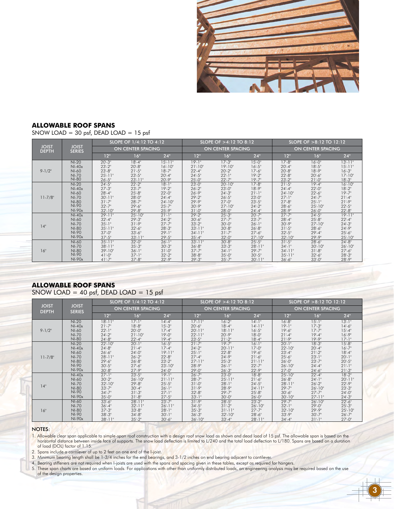

### **ALLOWABLE ROOF SPANS**

SNOW LOAD = 30 psf, DEAD LOAD = 15 psf

|                              |                               |                          | SLOPE OF 1/4:12 TO 4:12  |             |             | SLOPE OF $>4:12$ TO 8:12 |            | SLOPE OF >8:12 TO 12:12<br>ON CENTER SPACING |             |             |
|------------------------------|-------------------------------|--------------------------|--------------------------|-------------|-------------|--------------------------|------------|----------------------------------------------|-------------|-------------|
| <b>JOIST</b><br><b>DEPTH</b> | <b>JOIST</b><br><b>SERIES</b> |                          | <b>ON CENTER SPACING</b> |             |             | ON CENTER SPACING        |            |                                              |             |             |
|                              |                               | 12"                      | 16"                      | 24"         | 12"         | 16"                      | 24"        | 12"                                          | 16"         | $24$ "      |
| $9 - 1/2$ "                  | $NI-20$                       | $20^{\circ} - 3^{\circ}$ | $18 - 4"$                | $15' - 11"$ | $19 - 1$ "  | $17 - 3"$                | $15 - 0$ " | $17 - 8$ "                                   | $16 - 0$ "  | $13 - 11"$  |
|                              | $NI-40x$                      | $23 - 2"$                | $20 - 8"$                | $16 - 10$ " | $21 - 10"$  | $19' - 10''$             | $16 - 5"$  | $20 - 4"$                                    | $18 - 5"$   | $15 - 11"$  |
|                              | $NI-60$                       | $23 - 8"$                | $21 - 5"$                | $18 - 7"$   | $22 - 4"$   | $20 - 2"$                | $17 - 6"$  | $20 - 8"$                                    | $18 - 9"$   | $16 - 3"$   |
|                              | $NI-70$                       | $25 - 11"$               | $23 - 5"$                | $20 - 4"$   | $24 - 5"$   | $22 - 1$ "               | $19 - 2$ " | $22 - 8"$                                    | $20 - 6"$   | $17 - 10$ " |
|                              | <b>NI-80</b>                  | $26 - 5"$                | $23 - 11"$               | $20 - 9"$   | $25 - 0$ "  | $22 - 7"$                | $19 - 7"$  | $23 - 2"$                                    | $21 - 0$ "  | $18 - 3"$   |
| $11 - 7/8$ "                 | $NI-20$                       | $24 - 5"$                | $22 - 2$                 | $18 - 1$ "  | $23 - 0$ "  | $20 - 10$                | $17 - 8"$  | $21 - 5"$                                    | $19 - 4$ "  | $16 - 10"$  |
|                              | $NI-40x$                      | $27 - 3"$                | $23 - 7"$                | $19 - 2$ "  | $26 - 2"$   | $23 - 0$ "               | $18 - 9"$  | $24 - 4"$                                    | $22 - 0$ "  | $18 - 2"$   |
|                              | NI-60                         | $28 - 4"$                | $25 - 8"$                | $22 - 0$ "  | $26 - 9"$   | $24 - 3"$                | $21 - 1"$  | $24 - 10"$                                   | $22 - 6$ "  | $19 - 7"$   |
|                              | <b>NI-70</b>                  | $30 - 11"$               | $28 - 0$ "               | $24 - 4"$   | $29 - 2$ "  | $26 - 5"$                | $23 - 0$ " | $27 - 1$ "                                   | $24 - 7"$   | $21 - 4"$   |
|                              | <b>NI-80</b>                  | $31 - 7"$                | $28 - 7"$                | $24 - 10$ " | $29 - 9"$   | $27 - 0$ "               | $23 - 5"$  | $27 - 8"$                                    | $25 - 1$ "  | $21 - 9"$   |
|                              | <b>NI-90</b>                  | $32 - 7"$                | $29 - 6$ "               | $25 - 7"$   | $30 - 9"$   | $27 - 10$ "              | $24 - 2"$  | $28 - 6"$                                    | $25 - 10"$  | $22 - 5"$   |
|                              | NI-90x                        | $32 - 10$ "              | $29 - 8"$                | $25 - 9"$   | 31'.0''     | $28 - 0$ "               | $24 - 4"$  | $28 - 9"$                                    | $26 - 0$ "  | $22 - 8"$   |
| 14"                          | $NI-40x$                      | $29 - 11"$               | $25 - 10"$               | $21 - 1$ "  | $29 - 2$    | $25 - 3"$                | $20 - 7"$  | $27 - 7"$                                    | $24 - 5"$   | $19 - 11"$  |
|                              | $NI-60$                       | $32 - 4"$                | $29 - 3"$                | $24 - 2"$   | $30 - 6"$   | $27 - 7"$                | $23 - 7"$  | $28 - 4"$                                    | $25 - 8$ "  | $22 - 4"$   |
|                              | NI-70                         | $35 - 1$ "               | $31 - 9"$                | $27 - 7"$   | $33 - 2$ "  | $30 - 0$ "               | $26 - 1"$  | $30 - 9"$                                    | $27 - 10"$  | $24 - 3"$   |
|                              | <b>NI-80</b>                  | $35 - 11"$               | $32 - 6"$                | $28 - 3"$   | $33 - 11"$  | $30 - 8"$                | $26 - 8"$  | $31 - 5"$                                    | $28 - 6"$   | $24 - 9"$   |
|                              | NI-90                         | $37 - 0$ "               | $33 - 6"$                | $29 - 1$ "  | $34 - 11"$  | $31 - 7"$                | $27 - 6"$  | $32 - 5"$                                    | $29 - 4"$   | $25 - 6"$   |
|                              | $NI-90x$                      | $37 - 5"$                | $33' - 11"$              | $29 - 5"$   | $35 - 4"$   | $32 - 0$ "               | $27 - 10"$ | $32 - 10$ "                                  | $29 - 9"$   | $25 - 10"$  |
| 16"                          | $NI-60$                       | $35 - 11"$               | $32 - 0$ "               | $26 - 1$ "  | $33' - 11"$ | $30 - 8"$                | $25 - 5"$  | $31 - 5"$                                    | $28 - 6"$   | $24 - 8"$   |
|                              | $NI-70$                       | $38 - 11"$               | $35 - 3"$                | $30 - 3"$   | $36 - 8"$   | $33 - 3"$                | $28 - 11"$ | $34 - 1$ "                                   | $30 - 10$ " | $26 - 10"$  |
|                              | <b>NI-80</b>                  | $39 - 10"$               | $36 - 1$ "               | $31 - 0$ "  | $37 - 7"$   | $34 - 1$ "               | $29 - 7"$  | $34 - 11"$                                   | $31 - 8"$   | $27 - 6"$   |
|                              | <b>NI-90</b>                  | $41 - 0$ "               | $37 - 1$ "               | $32 - 2$ "  | $38 - 8"$   | $35 - 0$ "               | $30 - 5"$  | $35 - 11"$                                   | $32 - 6$ "  | $28 - 3"$   |
|                              | $NI-90x$                      | $41 - 7"$                | $37 - 8"$                | $32 - 9"$   | $39 - 3"$   | $35 - 7"$                | $30 - 11"$ | $36 - 6"$                                    | $33 - 0$ "  | $28 - 9"$   |

# **ALLOWABLE ROOF SPANS**

## SNOW LOAD = 40 psf, DEAD LOAD = 15 psf

|                              |                               |             | SLOPE OF 1/4:12 TO 4:12  |              |             | SLOPE OF $>4:12$ TO 8:12 |            | SLOPE OF $>8:12$ TO $12:12$ |            |             |  |
|------------------------------|-------------------------------|-------------|--------------------------|--------------|-------------|--------------------------|------------|-----------------------------|------------|-------------|--|
| <b>JOIST</b><br><b>DEPTH</b> | <b>JOIST</b><br><b>SERIES</b> |             | <b>ON CENTER SPACING</b> |              |             | <b>ON CENTER SPACING</b> |            | <b>ON CENTER SPACING</b>    |            |             |  |
|                              |                               | 12"         | 16"                      | 24"          | 12"         | 16"                      | 24"        | 12"                         | 16"        | 24"         |  |
| $9 - 1/2$ "                  | $NI-20$                       | $18 - 11"$  | $17 - 1"$                | $14 - 4"$    | $17' - 11"$ | $16 - 2$                 | $14 - 1"$  | $16 - 8"$                   | $15 - 1$ " | $13 - 1"$   |  |
|                              | $NI-40x$                      | $21 - 7"$   | $18 - 8"$                | $15 - 3"$    | $20 - 6"$   | $18 - 4"$                | $14 - 11"$ | $19 - 1$ "                  | $17 - 3"$  | $14 - 6"$   |  |
|                              | $NI-60$                       | $22 - 1"$   | $20 - 0$ "               | $17 - 4"$    | $20' - 11"$ | $18 - 11"$               | $16 - 5"$  | $19 - 6"$                   | $17 - 7"$  | $15 - 4"$   |  |
|                              | <b>NI-70</b>                  | $24 - 2"$   | $21 - 10$ "              | $19 - 0$ "   | $22 - 11"$  | $20 - 9"$                | $18 - 0$ " | $21 - 4"$                   | $19 - 4$ " | $16 - 9"$   |  |
|                              | <b>NI-80</b>                  | $24 - 8"$   | $22 - 4"$                | $19 - 4"$    | $23 - 5"$   | $21 - 2"$                | $18 - 4"$  | $21 - 9"$                   | $19 - 9"$  | $17 - 1"$   |  |
| $11 - 7/8"$                  | $NI-20$                       | $22 - 10"$  | $20 - 1$ "               | $16 - 5"$    | $21 - 7$    | $19 - 7$                 | $16 - 1"$  | $20 - 1$ "                  | $18 - 3$   | $15 - 8"$   |  |
|                              | $NI-40x$                      | $24 - 8"$   | $21 - 4"$                | $17 - 4"$    | $24 - 2"$   | $20 - 11"$               | $17 - 0$ " | $22 - 10$ "                 | $20 - 4"$  | $16 - 7"$   |  |
|                              | NI-60                         | $26 - 6"$   | $24 - 0$ "               | $19 - 11"$   | $25 - 1$ "  | $22 - 8"$                | $19 - 6"$  | $23 - 4"$                   | $21 - 2"$  | $18 - 4"$   |  |
|                              | <b>NI-70</b>                  | $28 - 11"$  | $26 - 2"$                | $22 - 8"$    | $27 - 4"$   | $24 - 9"$                | $21 - 6"$  | $25 - 6"$                   | $23 - 1$ " | $20 - 1$ "  |  |
|                              | <b>NI-80</b>                  | $29 - 6"$   | $26 - 8"$                | $23 - 2"$    | $27 - 11"$  | $25 - 3"$                | $21 - 11"$ | $26 - 0$ "                  | $23 - 7"$  | $20 - 5"$   |  |
|                              | <b>NI-90</b>                  | $30 - 5"$   | $27 - 6"$                | $23 - 10"$   | $28 - 9"$   | $26 - 1"$                | $22 - 7"$  | $26 - 10$ "                 | $24 - 4"$  | $21 - 1$ "  |  |
|                              | NI-90x                        | $30 - 8$ "  | $27 - 9"$                | $24 - 0$ "   | $29 - 0$ "  | $26 - 3"$                | $22 - 9"$  | $27 - 0$ "                  | $24 - 6"$  | $21 - 3"$   |  |
| 14"                          | $NI-40x$                      | $27 - 1"$   | $23 - 5"$                | $19 - 1$ "   | $26 - 7"$   | $23 - 0$ "               | $18 - 8"$  | $25 - 10$ "                 | $22 - 4"$  | $18 - 2$    |  |
|                              | NI-60                         | $30 - 2$ "  | $26 - 10$ "              | $21' - 11''$ | $28 - 7"$   | $25 - 11"$               | $21 - 6"$  | $26 - 8"$                   | $24 - 1$ " | $20' - 11"$ |  |
|                              | $NI-70$                       | $32 - 10$ " | $29 - 8$ "               | $25 - 5"$    | $31 - 0$ "  | $28 - 1$ "               | $24 - 5"$  | $28 - 11"$                  | $26 - 2$ " | $22 - 9"$   |  |
|                              | <b>NI-80</b>                  | $33 - 7"$   | $30 - 4"$                | $26 - 1$ "   | $31 - 9"$   | $28 - 9"$                | $24 - 11"$ | $29 - 7"$                   | $26 - 10"$ | $23 - 3"$   |  |
|                              | $NI-90$                       | $34 - 7"$   | $31 - 3"$                | $27 - 1$ "   | $32 - 8$ "  | $29 - 7"$                | $25 - 8"$  | $30 - 6"$                   | $27 - 7"$  | $24 - 0$ "  |  |
|                              | NI-90x                        | $35 - 0$ "  | $31 - 8"$                | $27 - 5"$    | $33 - 1$ "  | $30 - 0$ "               | $26 - 0$ " | $30 - 10$ "                 | $27 - 11"$ | $24 - 3"$   |  |
| 16"                          | $NI-60$                       | $33 - 6"$   | $28 - 11"$               | $23 - 7"$    | $31 - 9$    | $28 - 5$                 | $23 - 2"$  | $29 - 7"$                   | $26 - 10"$ | $22 - 6"$   |  |
|                              | $NI-70$                       | $36 - 4"$   | $32 - 11"$               | $26' - 11"$  | $34 - 5"$   | $31 - 2"$                | $26 - 10"$ | $32 - 1$ "                  | $29 - 0$ " | $25 - 3"$   |  |
|                              | <b>NI-80</b>                  | $37 - 3"$   | $33 - 8"$                | $28 - 1"$    | $35 - 3"$   | $31 - 11"$               | $27 - 7"$  | $32 - 10"$                  | $29 - 9"$  | $25 - 10"$  |  |
|                              | <b>NI-90</b>                  | $38 - 3"$   | $34 - 8"$                | $30 - 1$ "   | $36 - 3"$   | $32 - 10$ "              | $28 - 6$   | $33 - 9"$                   | $30 - 7"$  | $26 - 7"$   |  |
|                              | NI-90x                        | $38 - 11"$  | $35 - 2$ "               | $30 - 6"$    | $36 - 10"$  | $33 - 4"$                | $28 - 11"$ | $34 - 4"$                   | $31 - 1$ " | $27 - 0$ "  |  |

#### NOTES:

1. Allowable clear span applicable to simple-span roof construction with a design roof snow load as shown and dead load of 15 psf. The allowable span is based on the horizontal distance between inside face of supports. The snow load deflection is limited to L/240 and the total load deflection to L/180. Spans are based on a duration of load (DOL) factor of 1.15.

2. Spans include a cantilever of up to 2 feet on one end of the I-joist.

3. Minimum bearing length shall be 1-3/4 inches for the end bearings, and 3-1/2 inches on end bearing adjacent to cantilever.

4. Bearing stiffeners are not required when I-joists are used with the spans and spacing given in these tables, except as required for hangers.

5. These span charts are based on uniform loads. For applications with other than uniformly distributed loads, an engineering analysis may be required based on the use of the design properties.

3